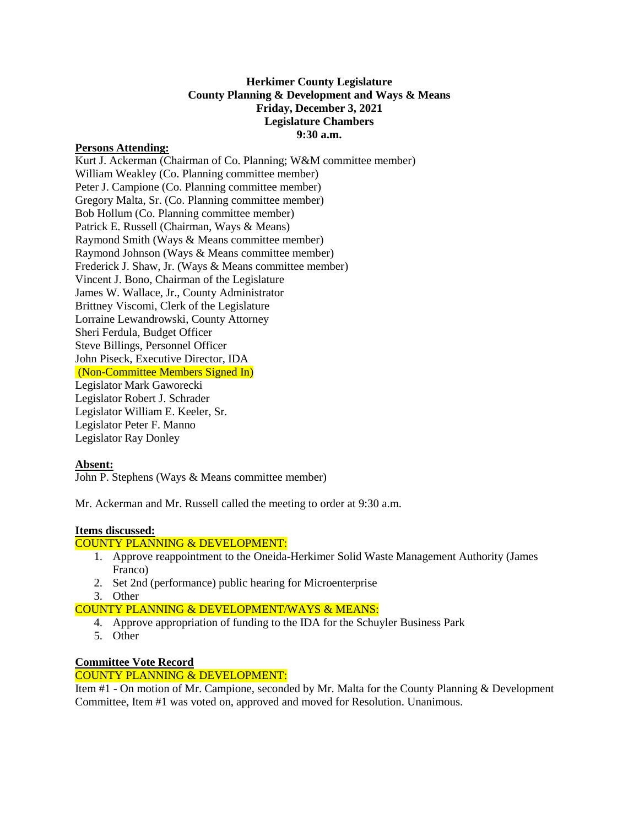#### **Herkimer County Legislature County Planning & Development and Ways & Means Friday, December 3, 2021 Legislature Chambers 9:30 a.m.**

#### **Persons Attending:**

Kurt J. Ackerman (Chairman of Co. Planning; W&M committee member) William Weakley (Co. Planning committee member) Peter J. Campione (Co. Planning committee member) Gregory Malta, Sr. (Co. Planning committee member) Bob Hollum (Co. Planning committee member) Patrick E. Russell (Chairman, Ways & Means) Raymond Smith (Ways & Means committee member) Raymond Johnson (Ways & Means committee member) Frederick J. Shaw, Jr. (Ways & Means committee member) Vincent J. Bono, Chairman of the Legislature James W. Wallace, Jr., County Administrator Brittney Viscomi, Clerk of the Legislature Lorraine Lewandrowski, County Attorney Sheri Ferdula, Budget Officer Steve Billings, Personnel Officer John Piseck, Executive Director, IDA (Non-Committee Members Signed In) Legislator Mark Gaworecki Legislator Robert J. Schrader Legislator William E. Keeler, Sr. Legislator Peter F. Manno Legislator Ray Donley

# **Absent:**

John P. Stephens (Ways & Means committee member)

Mr. Ackerman and Mr. Russell called the meeting to order at 9:30 a.m.

# **Items discussed:**

# COUNTY PLANNING & DEVELOPMENT:

- 1. Approve reappointment to the Oneida-Herkimer Solid Waste Management Authority (James Franco)
- 2. Set 2nd (performance) public hearing for Microenterprise
- 3. Other

#### COUNTY PLANNING & DEVELOPMENT/WAYS & MEANS:

- 4. Approve appropriation of funding to the IDA for the Schuyler Business Park
- 5. Other

# **Committee Vote Record**

# COUNTY PLANNING & DEVELOPMENT:

Item #1 - On motion of Mr. Campione, seconded by Mr. Malta for the County Planning & Development Committee, Item #1 was voted on, approved and moved for Resolution. Unanimous.